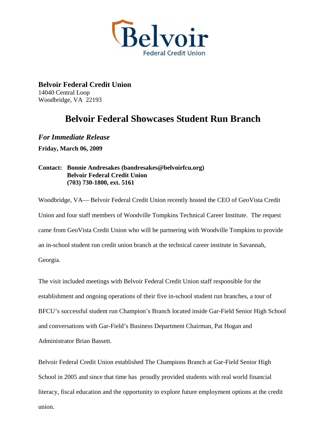

**Belvoir Federal Credit Union**  14040 Central Loop Woodbridge, VA 22193

## **Belvoir Federal Showcases Student Run Branch**

*For Immediate Release*  **Friday, March 06, 2009** 

## **Contact: Bonnie Andresakes (bandresakes@belvoirfcu.org) Belvoir Federal Credit Union (703) 730-1800, ext. 5161**

Woodbridge, VA— Belvoir Federal Credit Union recently hosted the CEO of GeoVista Credit Union and four staff members of Woodville Tompkins Technical Career Institute. The request came from GeoVista Credit Union who will be partnering with Woodville Tompkins to provide an in-school student run credit union branch at the technical career institute in Savannah, Georgia.

The visit included meetings with Belvoir Federal Credit Union staff responsible for the establishment and ongoing operations of their five in-school student run branches, a tour of BFCU's successful student run Champion's Branch located inside Gar-Field Senior High School and conversations with Gar-Field's Business Department Chairman, Pat Hogan and Administrator Brian Bassett.

Belvoir Federal Credit Union established The Champions Branch at Gar-Field Senior High School in 2005 and since that time has proudly provided students with real world financial literacy, fiscal education and the opportunity to explore future employment options at the credit union.